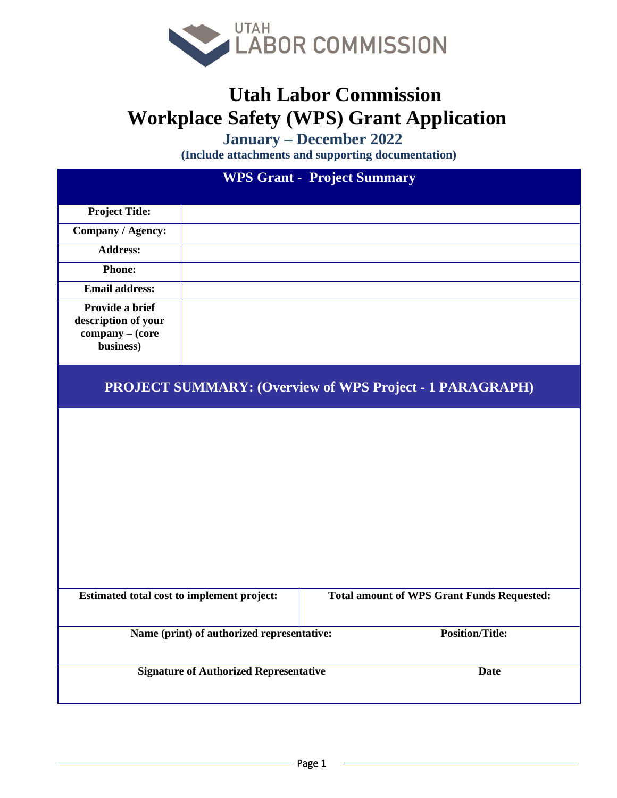

## **Utah Labor Commission Workplace Safety (WPS) Grant Application**

 **January** – **December** 2022

**(Include attachments and supporting documentation)**

| <b>WPS Grant - Project Summary</b>                                     |  |                                                   |  |  |
|------------------------------------------------------------------------|--|---------------------------------------------------|--|--|
| <b>Project Title:</b>                                                  |  |                                                   |  |  |
| Company / Agency:                                                      |  |                                                   |  |  |
| <b>Address:</b>                                                        |  |                                                   |  |  |
| <b>Phone:</b>                                                          |  |                                                   |  |  |
| <b>Email address:</b>                                                  |  |                                                   |  |  |
| Provide a brief<br>description of your<br>company - (core<br>business) |  |                                                   |  |  |
| <b>PROJECT SUMMARY: (Overview of WPS Project - 1 PARAGRAPH)</b>        |  |                                                   |  |  |
| Estimated total cost to implement project:                             |  | <b>Total amount of WPS Grant Funds Requested:</b> |  |  |
| Name (print) of authorized representative:                             |  | <b>Position/Title:</b>                            |  |  |
| <b>Signature of Authorized Representative</b>                          |  | <b>Date</b>                                       |  |  |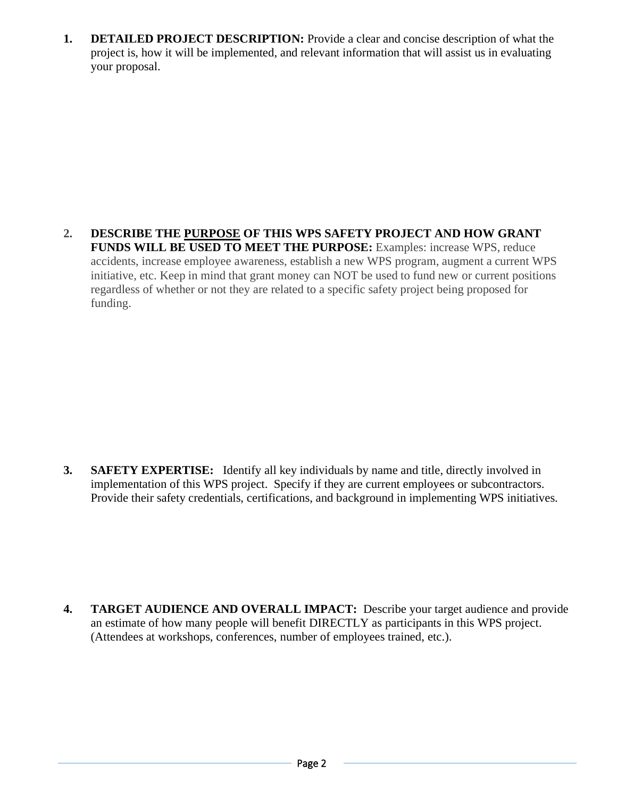**1. DETAILED PROJECT DESCRIPTION:** Provide a clear and concise description of what the project is, how it will be implemented, and relevant information that will assist us in evaluating your proposal.

**2. DESCRIBE THE PURPOSE OF THIS WPS SAFETY PROJECT AND HOW GRANT FUNDS WILL BE USED TO MEET THE PURPOSE:** Examples: increase WPS, reduce accidents, increase employee awareness, establish a new WPS program, augment a current WPS initiative, etc. Keep in mind that grant money can NOT be used to fund new or current positions regardless of whether or not they are related to a specific safety project being proposed for funding.

**3. SAFETY EXPERTISE:** Identify all key individuals by name and title, directly involved in implementation of this WPS project. Specify if they are current employees or subcontractors. Provide their safety credentials, certifications, and background in implementing WPS initiatives.

**4. TARGET AUDIENCE AND OVERALL IMPACT:** Describe your target audience and provide an estimate of how many people will benefit DIRECTLY as participants in this WPS project. (Attendees at workshops, conferences, number of employees trained, etc.).